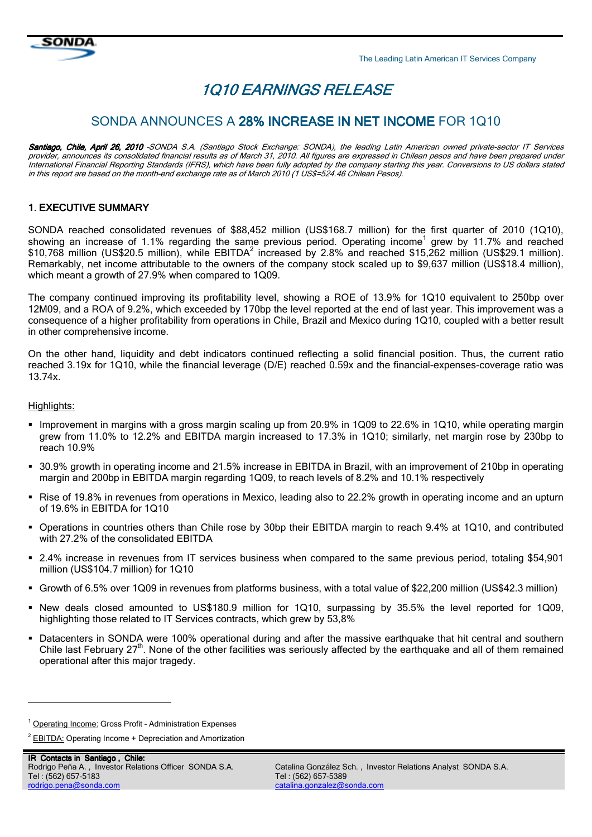

# 1Q10 EARNINGS RELEASE

# SONDA ANNOUNCES A 28% INCREASE IN NET INCOME FOR 1Q10

Santiago, Chile, April 26, 2010 -SONDA S.A. (Santiago Stock Exchange: SONDA), the leading Latin American owned private-sector IT Services provider, announces its consolidated financial results as of March 31, 2010. All figures are expressed in Chilean pesos and have been prepared under International Financial Reporting Standards (IFRS), which have been fully adopted by the company starting this year. Conversions to US dollars stated in this report are based on the month-end exchange rate as of March 2010 (1 US\$=524.46 Chilean Pesos).

### **1. EXECUTIVE SUMMARY**

SONDA reached consolidated revenues of \$88,452 million (US\$168.7 million) for the first quarter of 2010 (1Q10), showing an increase of 1.1% regarding the same previous period. Operating income<sup>1</sup> grew by 11.7% and reached  $$10,768$  million (US\$20.5 million), while EBITDA<sup>2</sup> increased by 2.8% and reached \$15,262 million (US\$29.1 million). Remarkably, net income attributable to the owners of the company stock scaled up to \$9,637 million (US\$18.4 million), which meant a growth of 27.9% when compared to 1Q09.

The company continued improving its profitability level, showing a ROE of 13.9% for 1Q10 equivalent to 250bp over 12M09, and a ROA of 9.2%, which exceeded by 170bp the level reported at the end of last year. This improvement was a consequence of a higher profitability from operations in Chile, Brazil and Mexico during 1Q10, coupled with a better result in other comprehensive income.

On the other hand, liquidity and debt indicators continued reflecting a solid financial position. Thus, the current ratio reached 3.19x for 1Q10, while the financial leverage (D/E) reached 0.59x and the financial-expenses-coverage ratio was 13.74x.

#### Highlights:

-

- Improvement in margins with a gross margin scaling up from 20.9% in 1Q09 to 22.6% in 1Q10, while operating margin grew from 11.0% to 12.2% and EBITDA margin increased to 17.3% in 1Q10; similarly, net margin rose by 230bp to reach 10.9%
- 30.9% growth in operating income and 21.5% increase in EBITDA in Brazil, with an improvement of 210bp in operating margin and 200bp in EBITDA margin regarding 1Q09, to reach levels of 8.2% and 10.1% respectively
- Rise of 19.8% in revenues from operations in Mexico, leading also to 22.2% growth in operating income and an upturn of 19.6% in EBITDA for 1Q10
- Operations in countries others than Chile rose by 30bp their EBITDA margin to reach 9.4% at 1Q10, and contributed with 27.2% of the consolidated EBITDA
- 2.4% increase in revenues from IT services business when compared to the same previous period, totaling \$54,901 million (US\$104.7 million) for 1Q10
- Growth of 6.5% over 1Q09 in revenues from platforms business, with a total value of \$22,200 million (US\$42.3 million)
- New deals closed amounted to US\$180.9 million for 1Q10, surpassing by 35.5% the level reported for 1Q09, highlighting those related to IT Services contracts, which grew by 53,8%
- Datacenters in SONDA were 100% operational during and after the massive earthquake that hit central and southern Chile last February  $27<sup>th</sup>$ . None of the other facilities was seriously affected by the earthquake and all of them remained operational after this major tragedy.

<sup>&</sup>lt;sup>1</sup> Operating Income: Gross Profit - Administration Expenses

<sup>&</sup>lt;sup>2</sup> EBITDA: Operating Income + Depreciation and Amortization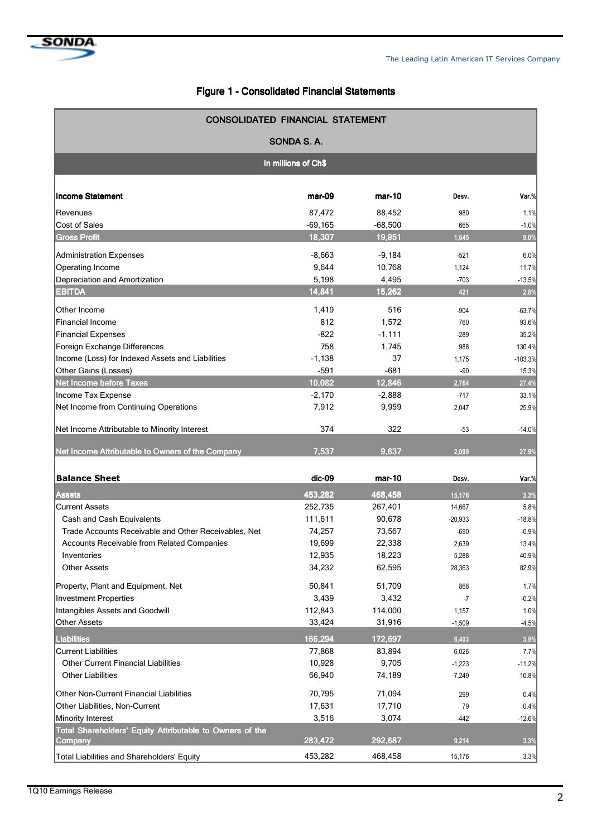# Figure 1 - Consolidated Financial Statements

| <b>CONSOLIDATED FINANCIAL STATEMENT</b>                             |           |           |             |           |  |  |  |
|---------------------------------------------------------------------|-----------|-----------|-------------|-----------|--|--|--|
| SONDA S.A.                                                          |           |           |             |           |  |  |  |
| In millions of Ch\$                                                 |           |           |             |           |  |  |  |
| <b>Income Statement</b>                                             | mar-09    | mar-10    | Desv.       | Var.%     |  |  |  |
| Revenues                                                            | 87.472    | 88,452    | 980         | 1.1%      |  |  |  |
| <b>Cost of Sales</b>                                                | $-69,165$ | $-68,500$ | 665         | $-1.0%$   |  |  |  |
| <b>Gross Profit</b>                                                 | 18,307    | 19,951    | 1,645       | 9.0%      |  |  |  |
| Administration Expenses                                             | $-8,663$  | $-9,184$  | $-521$      | 6.0%      |  |  |  |
| Operating Income                                                    | 9,644     | 10,768    | 1,124       | 11.7%     |  |  |  |
| Depreciation and Amortization                                       | 5,198     | 4,495     | $-703$      | $-13.5%$  |  |  |  |
| <b>EBITDA</b>                                                       | 14,841    | 15,262    | 421         | 2.8%      |  |  |  |
| Other Income                                                        | 1,419     | 516       |             | $-63.7%$  |  |  |  |
| <b>Financial Income</b>                                             | 812       | 1,572     | -904<br>760 | 93.6%     |  |  |  |
| <b>Financial Expenses</b>                                           | $-822$    | $-1,111$  | -289        | 35.2%     |  |  |  |
| Foreign Exchange Differences                                        | 758       | 1,745     | 988         | 130.4%    |  |  |  |
| Income (Loss) for Indexed Assets and Liabilities                    | $-1,138$  | 37        | 1,175       | $-103.3%$ |  |  |  |
| Other Gains (Losses)                                                | $-591$    | $-681$    | $-90$       | 15.3%     |  |  |  |
| <b>Net Income before Taxes</b>                                      | 10,082    | 12,846    | 2,764       | 27.4%     |  |  |  |
| Income Tax Expense                                                  | $-2,170$  | $-2,888$  | $-717$      | 33.1%     |  |  |  |
| Net Income from Continuing Operations                               | 7,912     | 9,959     | 2,047       | 25.9%     |  |  |  |
| Net Income Attributable to Minority Interest                        | 374       | 322       | $-53$       | $-14.0%$  |  |  |  |
| Net Income Attributable to Owners of the Company                    | 7,537     | 9,637     | 2,099       | 27.9%     |  |  |  |
| <b>Balance Sheet</b>                                                | dic-09    | $mar-10$  | Desv.       | Var.%     |  |  |  |
| <b>Assets</b>                                                       | 453,282   | 468,458   | 15,176      | 3.3%      |  |  |  |
| <b>Current Assets</b>                                               | 252,735   | 267,401   | 14,667      | 5.8%      |  |  |  |
| Cash and Cash Equivalents                                           | 111,611   | 90,678    | $-20,933$   | $-18.8%$  |  |  |  |
| Trade Accounts Receivable and Other Receivables, Net                | 74,257    | 73,567    | $-690$      | $-0.9%$   |  |  |  |
| Accounts Receivable from Related Companies                          | 19,699    | 22,338    | 2,639       | 13.4%     |  |  |  |
| Inventories                                                         | 12,935    | 18,223    | 5,288       | 40.9%     |  |  |  |
| <b>Other Assets</b>                                                 | 34,232    | 62,595    | 28,363      | 82.9%     |  |  |  |
| Property, Plant and Equipment, Net                                  | 50,841    | 51,709    | 868         | 1.7%      |  |  |  |
| <b>Investment Properties</b>                                        | 3,439     | 3,432     | $-7$        | $-0.2%$   |  |  |  |
| Intangibles Assets and Goodwill                                     | 112,843   | 114,000   | 1,157       | 1.0%      |  |  |  |
| <b>Other Assets</b>                                                 | 33,424    | 31,916    | $-1,509$    | $-4.5%$   |  |  |  |
| <b>Liabilities</b>                                                  | 166,294   | 172,697   | 6,403       | 3.9%      |  |  |  |
| <b>Current Liabilities</b>                                          | 77,868    | 83,894    | 6,026       | 7.7%      |  |  |  |
| <b>Other Current Financial Liabilities</b>                          | 10,928    | 9,705     | $-1,223$    | $-11.2%$  |  |  |  |
| <b>Other Liabilities</b>                                            | 66,940    | 74,189    | 7,249       | 10.8%     |  |  |  |
| Other Non-Current Financial Liabilities                             | 70,795    | 71,094    | 299         | 0.4%      |  |  |  |
| Other Liabilities, Non-Current                                      | 17,631    | 17,710    | 79          | 0.4%      |  |  |  |
| Minority Interest                                                   | 3,516     | 3,074     | -442        | $-12.6%$  |  |  |  |
| Total Shareholders' Equity Attributable to Owners of the<br>Company | 283,472   | 292,687   | 9,214       | 3.3%      |  |  |  |
| Total Liabilities and Shareholders' Equity                          | 453,282   | 468,458   | 15,176      | 3.3%      |  |  |  |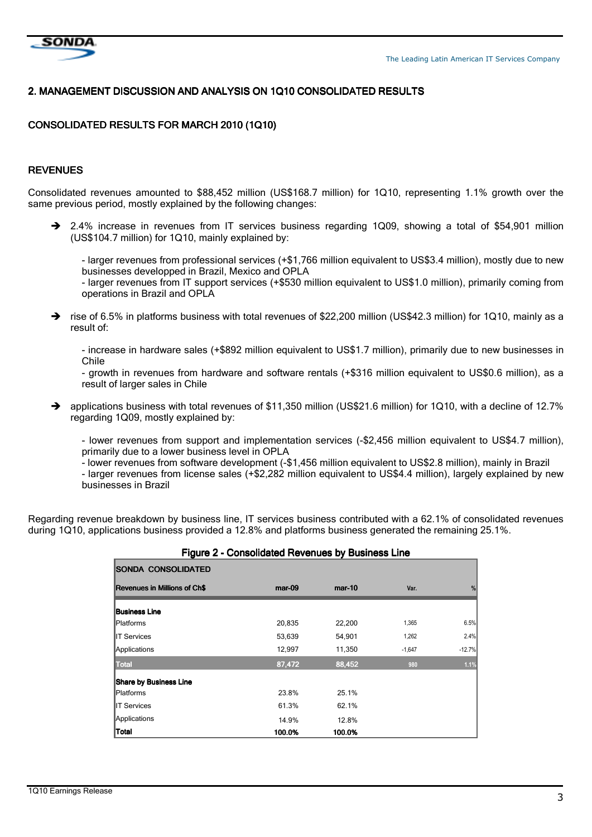

### 2. MANAGEMENT DISCUSSION AND ANALYSIS ON 1Q10 CONSOLIDATED RESULTS

# CONSOLIDATED RESULTS FOR MARCH 2010 (1Q10)

#### **REVENUES**

Consolidated revenues amounted to \$88,452 million (US\$168.7 million) for 1Q10, representing 1.1% growth over the same previous period, mostly explained by the following changes:

→ 2.4% increase in revenues from IT services business regarding 1Q09, showing a total of \$54,901 million (US\$104.7 million) for 1Q10, mainly explained by:

- larger revenues from professional services (+\$1,766 million equivalent to US\$3.4 million), mostly due to new businesses developped in Brazil, Mexico and OPLA

- larger revenues from IT support services (+\$530 million equivalent to US\$1.0 million), primarily coming from operations in Brazil and OPLA

 rise of 6.5% in platforms business with total revenues of \$22,200 million (US\$42.3 million) for 1Q10, mainly as a result of:

- increase in hardware sales (+\$892 million equivalent to US\$1.7 million), primarily due to new businesses in Chile

- growth in revenues from hardware and software rentals (+\$316 million equivalent to US\$0.6 million), as a result of larger sales in Chile

 $\rightarrow$  applications business with total revenues of \$11,350 million (US\$21.6 million) for 1Q10, with a decline of 12.7% regarding 1Q09, mostly explained by:

- lower revenues from support and implementation services (-\$2,456 million equivalent to US\$4.7 million), primarily due to a lower business level in OPLA

- lower revenues from software development (-\$1,456 million equivalent to US\$2.8 million), mainly in Brazil

- larger revenues from license sales (+\$2,282 million equivalent to US\$4.4 million), largely explained by new businesses in Brazil

Regarding revenue breakdown by business line, IT services business contributed with a 62.1% of consolidated revenues during 1Q10, applications business provided a 12.8% and platforms business generated the remaining 25.1%.

| -90<br><b>SONDA CONSOLIDATED</b> |          | - ,      |          |          |
|----------------------------------|----------|----------|----------|----------|
| Revenues in Millions of Ch\$     | $mar-09$ | $mar-10$ | Var.     | %        |
| <b>Business Line</b>             |          |          |          |          |
| <b>Platforms</b>                 | 20,835   | 22,200   | 1,365    | 6.5%     |
| <b>IT Services</b>               | 53,639   | 54,901   | 1,262    | 2.4%     |
| Applications                     | 12,997   | 11,350   | $-1,647$ | $-12.7%$ |
| <b>Total</b>                     | 87,472   | 88,452   | 980      | 1.1%     |
| <b>Share by Business Line</b>    |          |          |          |          |
| <b>Platforms</b>                 | 23.8%    | 25.1%    |          |          |
| <b>IT Services</b>               | 61.3%    | 62.1%    |          |          |
| Applications                     | 14.9%    | 12.8%    |          |          |
| <b>Total</b>                     | 100.0%   | 100.0%   |          |          |

#### Figure 2 - Consolidated Revenues by Business Line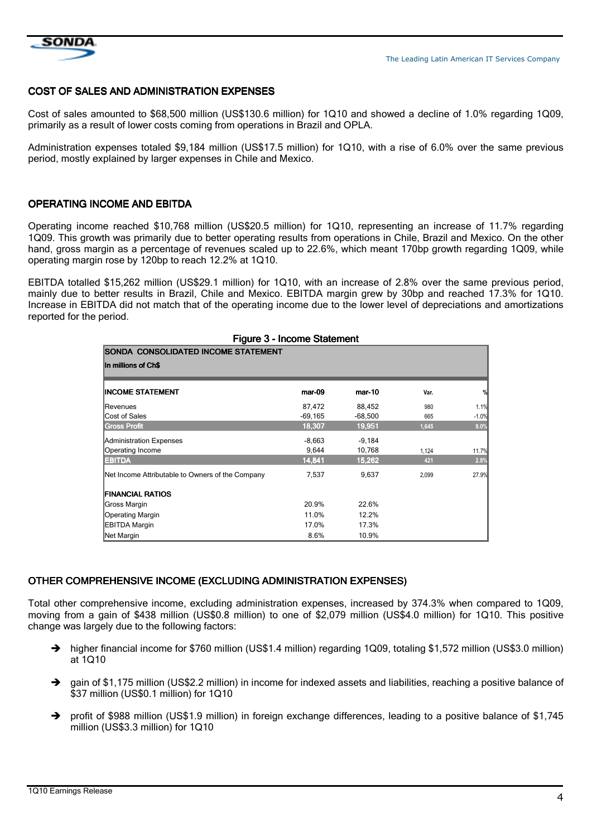

 $\overline{\phantom{a}}$ 

#### COST OF SALES AND ADMINISTRATION EXPENSES

Cost of sales amounted to \$68,500 million (US\$130.6 million) for 1Q10 and showed a decline of 1.0% regarding 1Q09, primarily as a result of lower costs coming from operations in Brazil and OPLA.

Administration expenses totaled \$9,184 million (US\$17.5 million) for 1Q10, with a rise of 6.0% over the same previous period, mostly explained by larger expenses in Chile and Mexico.

#### OPERATING INCOME AND EBITDA

Operating income reached \$10,768 million (US\$20.5 million) for 1Q10, representing an increase of 11.7% regarding 1Q09. This growth was primarily due to better operating results from operations in Chile, Brazil and Mexico. On the other hand, gross margin as a percentage of revenues scaled up to 22.6%, which meant 170bp growth regarding 1Q09, while operating margin rose by 120bp to reach 12.2% at 1Q10.

EBITDA totalled \$15,262 million (US\$29.1 million) for 1Q10, with an increase of 2.8% over the same previous period, mainly due to better results in Brazil, Chile and Mexico. EBITDA margin grew by 30bp and reached 17.3% for 1Q10. Increase in EBITDA did not match that of the operating income due to the lower level of depreciations and amortizations reported for the period.

|                                                  | <b>Figure 3 - Income Statement</b> |           |       |         |
|--------------------------------------------------|------------------------------------|-----------|-------|---------|
| <b>SONDA CONSOLIDATED INCOME STATEMENT</b>       |                                    |           |       |         |
| In millions of Ch\$                              |                                    |           |       |         |
| <b>INCOME STATEMENT</b>                          | mar-09                             | mar-10    | Var.  | %       |
| Revenues                                         | 87,472                             | 88,452    | 980   | 1.1%    |
| Cost of Sales                                    | $-69,165$                          | $-68,500$ | 665   | $-1.0%$ |
| <b>Gross Profit</b>                              | 18,307                             | 19,951    | 1,645 | 9.0%    |
| <b>Administration Expenses</b>                   | $-8,663$                           | $-9,184$  |       |         |
| Operating Income                                 | 9,644                              | 10,768    | 1,124 | 11.7%   |
| <b>EBITDA</b>                                    | 14,841                             | 15,262    | 421   | 2.8%    |
| Net Income Attributable to Owners of the Company | 7,537                              | 9,637     | 2,099 | 27.9%   |
| <b>FINANCIAL RATIOS</b>                          |                                    |           |       |         |
| Gross Margin                                     | 20.9%                              | 22.6%     |       |         |
| <b>Operating Margin</b>                          | 11.0%                              | 12.2%     |       |         |
| <b>EBITDA Margin</b>                             | 17.0%                              | 17.3%     |       |         |
| Net Margin                                       | 8.6%                               | 10.9%     |       |         |

# OTHER COMPREHENSIVE INCOME (EXCLUDING ADMINISTRATION EXPENSES)

Total other comprehensive income, excluding administration expenses, increased by 374.3% when compared to 1Q09, moving from a gain of \$438 million (US\$0.8 million) to one of \$2,079 million (US\$4.0 million) for 1Q10. This positive change was largely due to the following factors:

- $\rightarrow$  higher financial income for \$760 million (US\$1.4 million) regarding 1Q09, totaling \$1,572 million (US\$3.0 million) at 1Q10
- $\rightarrow$  gain of \$1,175 million (US\$2.2 million) in income for indexed assets and liabilities, reaching a positive balance of \$37 million (US\$0.1 million) for 1Q10
- $\blacktriangle$  profit of \$988 million (US\$1.9 million) in foreign exchange differences, leading to a positive balance of \$1,745 million (US\$3.3 million) for 1Q10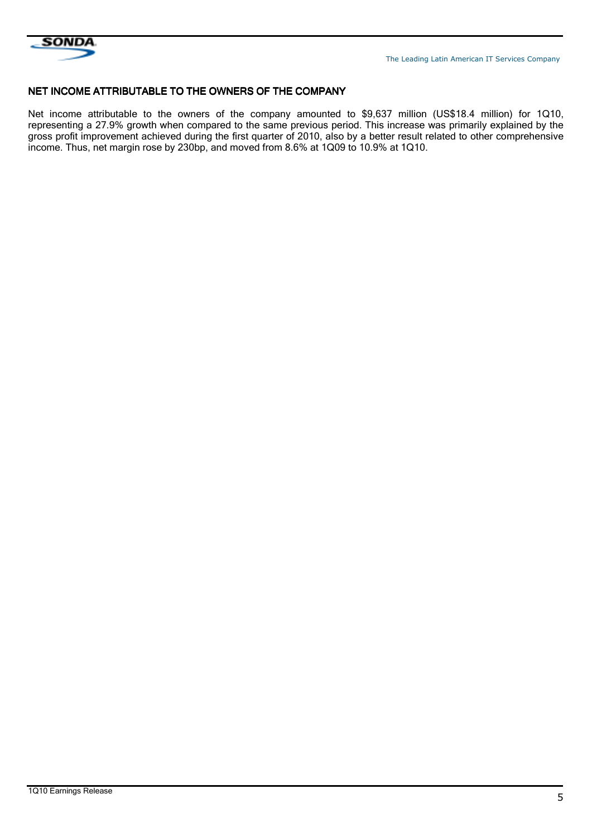

#### NET INCOME ATTRIBUTABLE TO THE OWNERS OF THE COMPANY

Net income attributable to the owners of the company amounted to \$9,637 million (US\$18.4 million) for 1Q10, representing a 27.9% growth when compared to the same previous period. This increase was primarily explained by the gross profit improvement achieved during the first quarter of 2010, also by a better result related to other comprehensive income. Thus, net margin rose by 230bp, and moved from 8.6% at 1Q09 to 10.9% at 1Q10.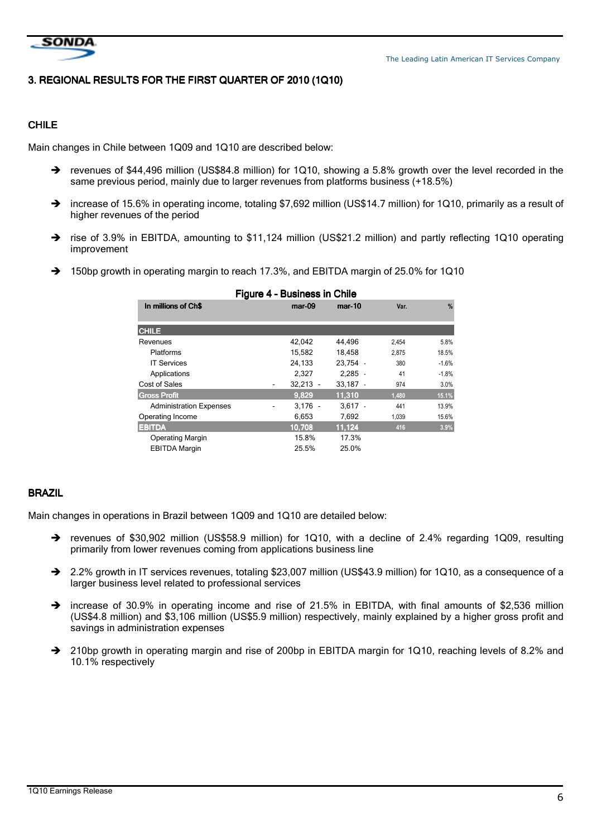

# 3. REGIONAL RESULTS FOR THE FIRST QUARTER OF 2010 (1Q10)

# CHILE

Main changes in Chile between 1Q09 and 1Q10 are described below:

- → revenues of \$44,496 million (US\$84.8 million) for 1Q10, showing a 5.8% growth over the level recorded in the same previous period, mainly due to larger revenues from platforms business (+18.5%)
- → increase of 15.6% in operating income, totaling \$7,692 million (US\$14.7 million) for 1Q10, primarily as a result of higher revenues of the period
- rise of 3.9% in EBITDA, amounting to \$11,124 million (US\$21.2 million) and partly reflecting 1Q10 operating improvement
- $\rightarrow$ 150bp growth in operating margin to reach 17.3%, and EBITDA margin of 25.0% for 1Q10

| Figure 4 - Business in Chile   |            |            |       |               |  |  |
|--------------------------------|------------|------------|-------|---------------|--|--|
| In millions of Ch\$            | $mar-09$   | mar-10     | Var.  | $\frac{9}{6}$ |  |  |
|                                |            |            |       |               |  |  |
| <b>CHILE</b>                   |            |            |       |               |  |  |
| Revenues                       | 42,042     | 44.496     | 2,454 | 5.8%          |  |  |
| <b>Platforms</b>               | 15,582     | 18.458     | 2.875 | 18.5%         |  |  |
| <b>IT Services</b>             | 24.133     | 23.754 -   | 380   | $-1.6%$       |  |  |
| Applications                   | 2,327      | $2.285 -$  | 41    | $-1.8%$       |  |  |
| Cost of Sales                  | $32,213 -$ | $33,187 -$ | 974   | 3.0%          |  |  |
| <b>Gross Profit</b>            | 9,829      | 11,310     | 1,480 | 15.1%         |  |  |
| <b>Administration Expenses</b> | $3.176 -$  | $3.617 -$  | 441   | 13.9%         |  |  |
| Operating Income               | 6,653      | 7,692      | 1,039 | 15.6%         |  |  |
| <b>EBITDA</b>                  | 10.708     | 11.124     | 416   | 3.9%          |  |  |
| <b>Operating Margin</b>        | 15.8%      | 17.3%      |       |               |  |  |
| <b>EBITDA Margin</b>           | 25.5%      | 25.0%      |       |               |  |  |

#### BRAZIL

Main changes in operations in Brazil between 1Q09 and 1Q10 are detailed below:

- revenues of \$30,902 million (US\$58.9 million) for 1Q10, with a decline of 2.4% regarding 1Q09, resulting primarily from lower revenues coming from applications business line
- → 2.2% growth in IT services revenues, totaling \$23,007 million (US\$43.9 million) for 1Q10, as a consequence of a larger business level related to professional services
- increase of 30.9% in operating income and rise of 21.5% in EBITDA, with final amounts of \$2,536 million (US\$4.8 million) and \$3,106 million (US\$5.9 million) respectively, mainly explained by a higher gross profit and savings in administration expenses
- → 210bp growth in operating margin and rise of 200bp in EBITDA margin for 1Q10, reaching levels of 8.2% and 10.1% respectively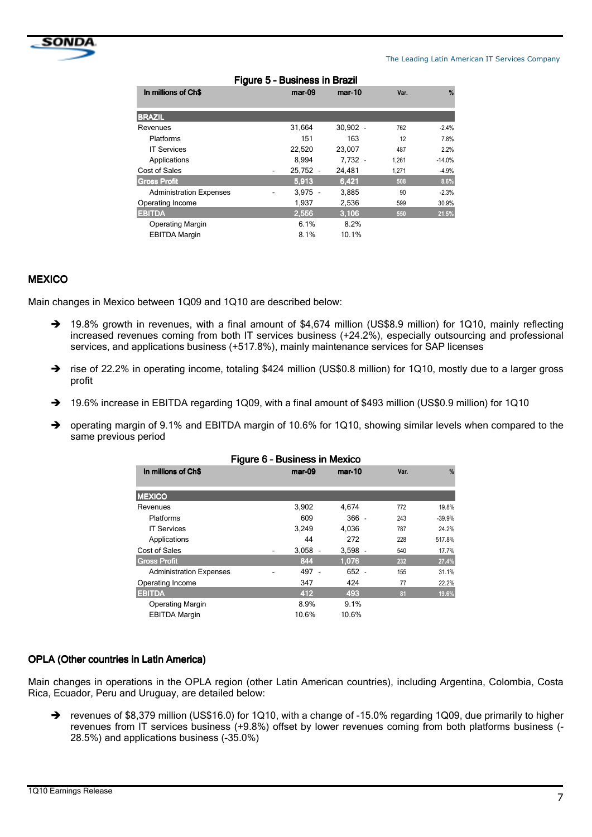

#### The Leading Latin American IT Services Company

| וואסוט ווו כּכּסוווּכּטט ־ ט סווען ו |                          |            |            |       |               |  |  |  |
|--------------------------------------|--------------------------|------------|------------|-------|---------------|--|--|--|
| In millions of Ch\$                  |                          | $mar-09$   | $mar-10$   | Var.  | $\frac{9}{6}$ |  |  |  |
| <b>BRAZIL</b>                        |                          |            |            |       |               |  |  |  |
| Revenues                             |                          | 31,664     | $30,902 -$ | 762   | $-2.4%$       |  |  |  |
| <b>Platforms</b>                     |                          | 151        | 163        | 12    | 7.8%          |  |  |  |
| <b>IT Services</b>                   |                          | 22,520     | 23.007     | 487   | 2.2%          |  |  |  |
| Applications                         |                          | 8.994      | 7,732 -    | 1,261 | $-14.0%$      |  |  |  |
| Cost of Sales                        | $\overline{\phantom{0}}$ | $25.752 -$ | 24.481     | 1,271 | $-4.9%$       |  |  |  |
| <b>Gross Profit</b>                  |                          | 5.913      | 6,421      | 508   | 8.6%          |  |  |  |
| <b>Administration Expenses</b>       |                          | $3.975 -$  | 3,885      | 90    | $-2.3%$       |  |  |  |
| Operating Income                     |                          | 1,937      | 2,536      | 599   | 30.9%         |  |  |  |
| <b>EBITDA</b>                        |                          | 2.556      | 3,106      | 550   | 21.5%         |  |  |  |
| <b>Operating Margin</b>              |                          | 6.1%       | 8.2%       |       |               |  |  |  |
| <b>EBITDA Margin</b>                 |                          | 8.1%       | 10.1%      |       |               |  |  |  |
|                                      |                          |            |            |       |               |  |  |  |

#### Figure 5 5– Business in Brazil in Brazil

#### **MEXICO**

Main changes in Mexico between 1Q09 and 1Q10 are described below:

- → 19.8% growth in revenues, with a final amount of \$4,674 million (US\$8.9 million) for 1Q10, mainly reflecting increased revenues coming from both IT services business (+24.2%), especially outsourcing and professional services, and applications business (+517.8%), mainly maintenance services for SAP licenses
- → rise of 22.2% in operating income, totaling \$424 million (US\$0.8 million) for 1Q10, mostly due to a larger gross profit
- → 19.6% increase in EBITDA regarding 1Q09, with a final amount of \$493 million (US\$0.9 million) for 1Q10
- operating margin of 9.1% and EBITDA margin of 10.6% for 1Q10, showing similar levels when compared to the same previous period

| Figure 6 - Business in Mexico  |                  |                             |      |               |  |  |
|--------------------------------|------------------|-----------------------------|------|---------------|--|--|
| In millions of Ch\$            | mar-09<br>mar-10 |                             | Var. | $\frac{9}{6}$ |  |  |
|                                |                  |                             |      |               |  |  |
| <b>MEXICO</b>                  |                  |                             |      |               |  |  |
| Revenues                       | 3,902            | 4,674                       | 772  | 19.8%         |  |  |
| Platforms                      | 609              | $366 -$                     | 243  | $-39.9%$      |  |  |
| <b>IT Services</b>             | 3,249            | 4,036                       | 787  | 24.2%         |  |  |
| Applications                   | 44               | 272                         | 228  | 517.8%        |  |  |
| Cost of Sales                  | 3,058<br>-       | $3,598 -$<br>$\blacksquare$ | 540  | 17.7%         |  |  |
| <b>Gross Profit</b>            | 844              | 1.076                       | 232  | 27.4%         |  |  |
| <b>Administration Expenses</b> | 497 -            | $652 -$                     | 155  | 31.1%         |  |  |
| Operating Income               | 347              | 424                         | 77   | 22.2%         |  |  |
| <b>EBITDA</b>                  | 412              | 493                         | 81   | 19.6%         |  |  |
| <b>Operating Margin</b>        | 8.9%             | 9.1%                        |      |               |  |  |
| <b>EBITDA Margin</b>           | 10.6%            | 10.6%                       |      |               |  |  |

#### OPLA (Other countries in Latin America)

Main changes in operations in the OPLA region (other Latin American countries), including Argentina, Colombia, Costa Rica, Ecuador, Peru and Uruguay, are detailed below:

→ revenues of \$8,379 million (US\$16.0) for 1Q10, with a change of -15.0% regarding 1Q09, due primarily to higher revenues from IT services business (+9.8%) offset by lower revenues coming from both platforms business (- 28.5%) and applications business (-35.0%)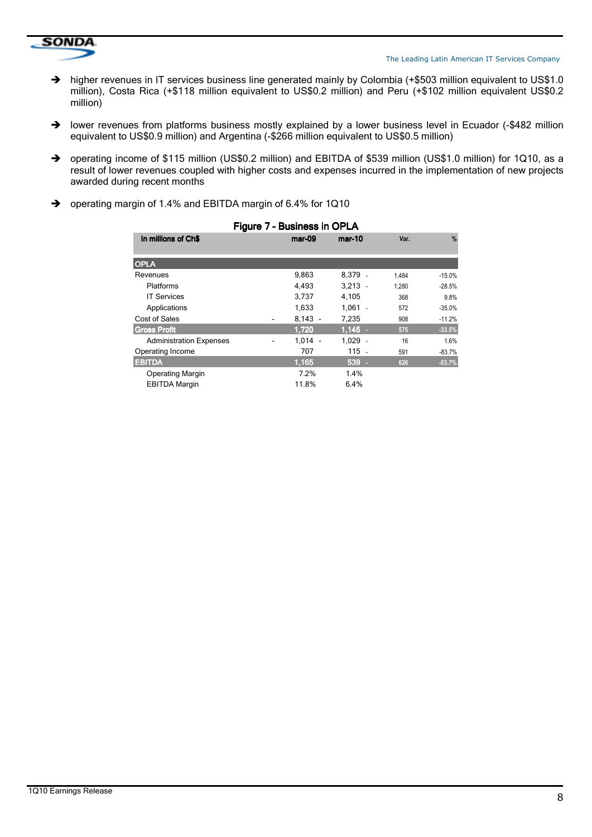

- $\rightarrow$  higher revenues in IT services business line generated mainly by Colombia (+\$503 million equivalent to US\$1.0 million), Costa Rica (+\$118 million equivalent to US\$0.2 million) and Peru (+\$102 million equivalent US\$0.2 million)
- → lower revenues from platforms business mostly explained by a lower business level in Ecuador (-\$482 million equivalent to US\$0.9 million) and Argentina (-\$266 million equivalent to US\$0.5 million)
- → operating income of \$115 million (US\$0.2 million) and EBITDA of \$539 million (US\$1.0 million) for 1Q10, as a result of lower revenues coupled with higher costs and expenses incurred in the implementation of new projects awarded during recent months
- $\rightarrow$ operating margin of 1.4% and EBITDA margin of 6.4% for 1Q10

| Figure 7 - Business in OPLA    |           |           |       |          |  |  |  |
|--------------------------------|-----------|-----------|-------|----------|--|--|--|
| In millions of Ch\$            | $mar-09$  | mar-10    | Var.  | $\%$     |  |  |  |
| <b>OPLA</b>                    |           |           |       |          |  |  |  |
| Revenues                       | 9,863     | 8,379 -   | 1.484 | $-15.0%$ |  |  |  |
| Platforms                      | 4,493     | $3.213 -$ | 1.280 | $-28.5%$ |  |  |  |
| <b>IT Services</b>             | 3,737     | 4,105     | 368   | 9.8%     |  |  |  |
| Applications                   | 1,633     | $1.061 -$ | 572   | $-35.0%$ |  |  |  |
| Cost of Sales                  | $8,143 -$ | 7,235     | 908   | $-11.2%$ |  |  |  |
| <b>Gross Profit</b>            | 1.720     | $1.145 -$ | 575   | $-33.5%$ |  |  |  |
| <b>Administration Expenses</b> | $1.014 -$ | $1,029 -$ | 16    | 1.6%     |  |  |  |
| Operating Income               | 707       | 115 -     | 591   | $-83.7%$ |  |  |  |
| <b>EBITDA</b>                  | 1.165     | $539 -$   | 626   | $-53.7%$ |  |  |  |
| <b>Operating Margin</b>        | 7.2%      | 1.4%      |       |          |  |  |  |
| <b>EBITDA Margin</b>           | 11.8%     | 6.4%      |       |          |  |  |  |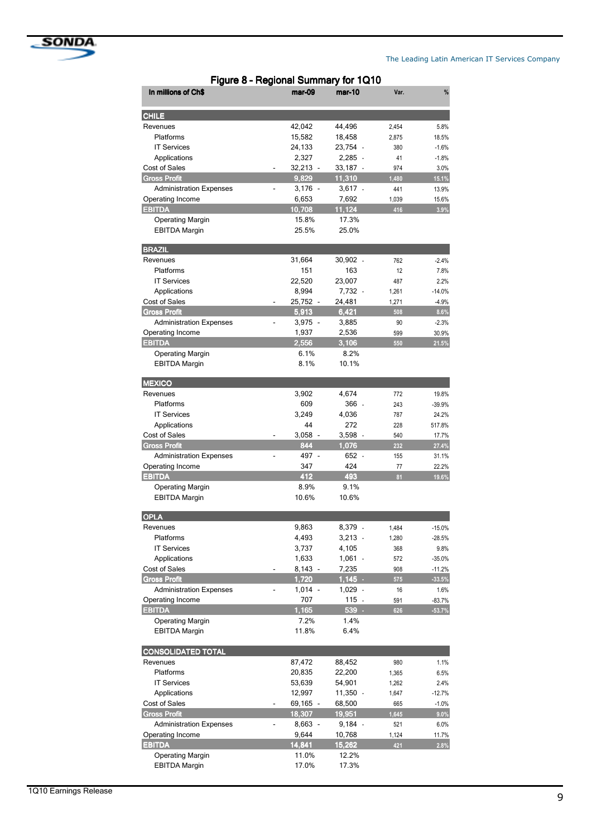

| Figure 8 - Regional Summary for 1Q10 |  |            |            |       |               |  |  |
|--------------------------------------|--|------------|------------|-------|---------------|--|--|
| In millions of Ch\$                  |  | mar-09     | $mar-10$   | Var.  | $\frac{9}{6}$ |  |  |
| <b>CHILE</b>                         |  |            |            |       |               |  |  |
| Revenues                             |  | 42,042     | 44,496     | 2,454 | 5.8%          |  |  |
| Platforms                            |  | 15,582     | 18,458     | 2,875 | 18.5%         |  |  |
| <b>IT Services</b>                   |  | 24,133     | 23,754 -   | 380   | $-1.6%$       |  |  |
| Applications                         |  | 2,327      | $2,285 -$  | 41    | $-1.8%$       |  |  |
| Cost of Sales                        |  | $32,213 -$ | 33,187 -   | 974   | 3.0%          |  |  |
| <b>Gross Profit</b>                  |  | 9,829      | 11,310     | 1,480 | 15.1%         |  |  |
| <b>Administration Expenses</b>       |  | $3,176 -$  | 3,617 -    | 441   | 13.9%         |  |  |
| Operating Income                     |  | 6,653      | 7,692      | 1.039 | 15.6%         |  |  |
| <b>EBITDA</b>                        |  | 10,708     | 11,124     | 416   | 3.9%          |  |  |
| <b>Operating Margin</b>              |  | 15.8%      | 17.3%      |       |               |  |  |
| <b>EBITDA Margin</b>                 |  | 25.5%      | 25.0%      |       |               |  |  |
| <b>BRAZIL</b>                        |  |            |            |       |               |  |  |
| Revenues                             |  | 31,664     | $30,902 -$ | 762   | $-2.4%$       |  |  |
| Platforms                            |  | 151        | 163        | 12    | 7.8%          |  |  |
| <b>IT Services</b>                   |  | 22,520     | 23,007     | 487   | 2.2%          |  |  |
| Applications                         |  | 8,994      | 7,732 -    | 1,261 | $-14.0%$      |  |  |
| <b>Cost of Sales</b>                 |  | 25,752 -   | 24,481     | 1,271 | $-4.9%$       |  |  |
| <b>Gross Profit</b>                  |  | 5,913      | 6,421      | 508   | 8.6%          |  |  |
| <b>Administration Expenses</b>       |  | $3,975 -$  | 3,885      | 90    | $-2.3%$       |  |  |
| Operating Income                     |  | 1,937      | 2,536      | 599   | 30.9%         |  |  |
| <b>EBITDA</b>                        |  | 2,556      | 3,106      | 550   | 21.5%         |  |  |
| <b>Operating Margin</b>              |  | 6.1%       | 8.2%       |       |               |  |  |
| <b>EBITDA Margin</b>                 |  | 8.1%       | 10.1%      |       |               |  |  |
| <b>MEXICO</b>                        |  |            |            |       |               |  |  |
| Revenues                             |  | 3,902      | 4,674      | 772   | 19.8%         |  |  |
| Platforms                            |  | 609        | 366 -      | 243   | $-39.9%$      |  |  |
| <b>IT Services</b>                   |  | 3,249      | 4,036      | 787   | 24.2%         |  |  |
| Applications                         |  | 44         | 272        | 228   | 517.8%        |  |  |
| <b>Cost of Sales</b>                 |  | $3,058 -$  | $3,598 -$  | 540   | 17.7%         |  |  |
| <b>Gross Profit</b>                  |  | 844        | 1,076      | 232   | 27.4%         |  |  |
| <b>Administration Expenses</b>       |  | 497 -      | 652 -      | 155   | 31.1%         |  |  |
| Operating Income                     |  | 347        | 424        | 77    | 22.2%         |  |  |
| <b>EBITDA</b>                        |  | 412        | 493        | 81    | 19.6%         |  |  |
| <b>Operating Margin</b>              |  | 8.9%       | 9.1%       |       |               |  |  |
| <b>EBITDA Margin</b>                 |  | 10.6%      | 10.6%      |       |               |  |  |
| <b>OPLA</b>                          |  |            |            |       |               |  |  |
| Revenues                             |  | 9,863      | 8,379 -    | 1,484 | $-15.0%$      |  |  |
| Platforms                            |  | 4,493      | $3,213 -$  | 1,280 | $-28.5%$      |  |  |
| <b>IT Services</b>                   |  | 3,737      | 4,105      | 368   | 9.8%          |  |  |
| Applications                         |  | 1,633      | $1,061 -$  | 572   | $-35.0%$      |  |  |
| Cost of Sales                        |  | $8,143 -$  | 7,235      | 908   | $-11.2%$      |  |  |
| <b>Gross Profit</b>                  |  | 1,720      | $1,145$ .  | 575   | $-33.5%$      |  |  |
| <b>Administration Expenses</b>       |  | $1,014 -$  | $1,029 -$  | 16    | 1.6%          |  |  |
| Operating Income                     |  | 707        | 115        | 591   | $-83.7%$      |  |  |
| <b>EBITDA</b>                        |  | 1,165      | 539.       | 626   | $-53.7%$      |  |  |
| <b>Operating Margin</b>              |  | 7.2%       | 1.4%       |       |               |  |  |
| <b>EBITDA Margin</b>                 |  | 11.8%      | 6.4%       |       |               |  |  |
| <b>CONSOLIDATED TOTAL</b>            |  |            |            |       |               |  |  |
| Revenues                             |  | 87,472     | 88,452     | 980   | 1.1%          |  |  |
| Platforms                            |  | 20,835     | 22,200     | 1,365 | 6.5%          |  |  |
| <b>IT Services</b>                   |  | 53,639     | 54,901     | 1,262 | 2.4%          |  |  |
| Applications                         |  | 12,997     | 11,350 -   | 1,647 | $-12.7%$      |  |  |
| Cost of Sales                        |  | 69,165 -   | 68,500     | 665   | $-1.0%$       |  |  |
| <b>Gross Profit</b>                  |  | 18,307     | 19,951     | 1,645 | 9.0%          |  |  |
| <b>Administration Expenses</b>       |  | 8,663 -    | 9,184 -    | 521   | 6.0%          |  |  |
| Operating Income                     |  | 9,644      | 10,768     | 1,124 | 11.7%         |  |  |
| <b>EBITDA</b>                        |  | 14,841     | 15,262     | 421   | 2.8%          |  |  |
| <b>Operating Margin</b>              |  | 11.0%      | 12.2%      |       |               |  |  |
| <b>EBITDA Margin</b>                 |  | 17.0%      | 17.3%      |       |               |  |  |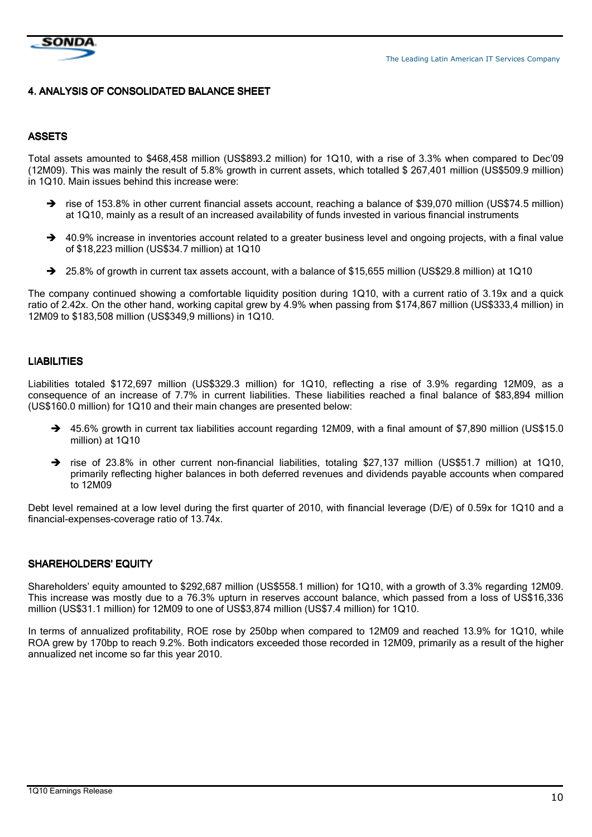

### 4. ANALYSIS OF CONSOLIDATED BALANCE SHEET

#### ASSETS

Total assets amounted to \$468,458 million (US\$893.2 million) for 1Q10, with a rise of 3.3% when compared to Dec'09 (12M09). This was mainly the result of 5.8% growth in current assets, which totalled \$ 267,401 million (US\$509.9 million) in 1Q10. Main issues behind this increase were:

- → rise of 153.8% in other current financial assets account, reaching a balance of \$39,070 million (US\$74.5 million) at 1Q10, mainly as a result of an increased availability of funds invested in various financial instruments
- → 40.9% increase in inventories account related to a greater business level and ongoing projects, with a final value of \$18,223 million (US\$34.7 million) at 1Q10
- → 25.8% of growth in current tax assets account, with a balance of \$15,655 million (US\$29.8 million) at 1Q10

The company continued showing a comfortable liquidity position during 1Q10, with a current ratio of 3.19x and a quick ratio of 2.42x. On the other hand, working capital grew by 4.9% when passing from \$174,867 million (US\$333,4 million) in 12M09 to \$183,508 million (US\$349,9 millions) in 1Q10.

#### **LIABILITIES**

Liabilities totaled \$172,697 million (US\$329.3 million) for 1Q10, reflecting a rise of 3.9% regarding 12M09, as a consequence of an increase of 7.7% in current liabilities. These liabilities reached a final balance of \$83,894 million (US\$160.0 million) for 1Q10 and their main changes are presented below:

- $\rightarrow$  45.6% growth in current tax liabilities account regarding 12M09, with a final amount of \$7,890 million (US\$15.0 million) at 1Q10
- $\rightarrow$  rise of 23.8% in other current non-financial liabilities, totaling \$27,137 million (US\$51.7 million) at 1Q10, primarily reflecting higher balances in both deferred revenues and dividends payable accounts when compared to 12M09

Debt level remained at a low level during the first quarter of 2010, with financial leverage (D/E) of 0.59x for 1Q10 and a financial-expenses-coverage ratio of 13.74x.

# SHAREHOLDERS' EQUITY

Shareholders' equity amounted to \$292,687 million (US\$558.1 million) for 1Q10, with a growth of 3.3% regarding 12M09. This increase was mostly due to a 76.3% upturn in reserves account balance, which passed from a loss of US\$16,336 million (US\$31.1 million) for 12M09 to one of US\$3,874 million (US\$7.4 million) for 1Q10.

In terms of annualized profitability, ROE rose by 250bp when compared to 12M09 and reached 13.9% for 1Q10, while ROA grew by 170bp to reach 9.2%. Both indicators exceeded those recorded in 12M09, primarily as a result of the higher annualized net income so far this year 2010.